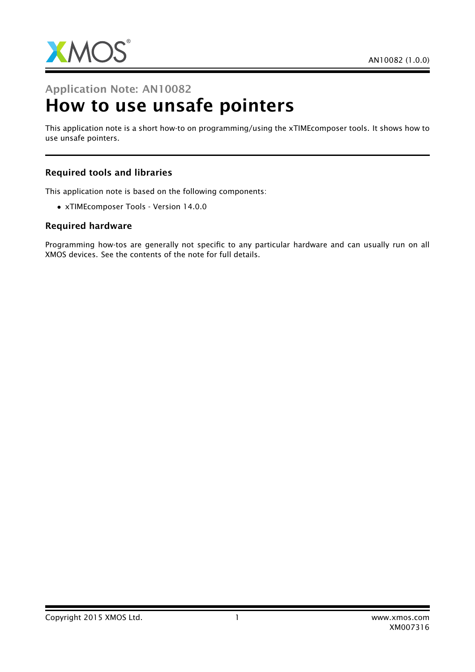

# Application Note: AN10082 How to use unsafe pointers

This application note is a short how-to on programming/using the xTIMEcomposer tools. It shows how to use unsafe pointers.

### Required tools and libraries

This application note is based on the following components:

• xTIMEcomposer Tools - Version 14.0.0

#### Required hardware

Programming how-tos are generally not specific to any particular hardware and can usually run on all XMOS devices. See the contents of the note for full details.